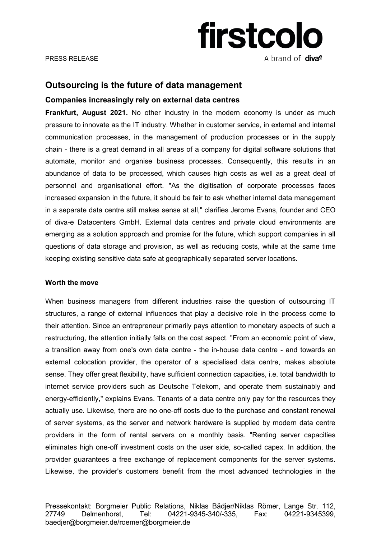

# **Outsourcing is the future of data management**

## **Companies increasingly rely on external data centres**

**Frankfurt, August 2021.** No other industry in the modern economy is under as much pressure to innovate as the IT industry. Whether in customer service, in external and internal communication processes, in the management of production processes or in the supply chain - there is a great demand in all areas of a company for digital software solutions that automate, monitor and organise business processes. Consequently, this results in an abundance of data to be processed, which causes high costs as well as a great deal of personnel and organisational effort. "As the digitisation of corporate processes faces increased expansion in the future, it should be fair to ask whether internal data management in a separate data centre still makes sense at all," clarifies Jerome Evans, founder and CEO of diva-e Datacenters GmbH. External data centres and private cloud environments are emerging as a solution approach and promise for the future, which support companies in all questions of data storage and provision, as well as reducing costs, while at the same time keeping existing sensitive data safe at geographically separated server locations.

### **Worth the move**

When business managers from different industries raise the question of outsourcing IT structures, a range of external influences that play a decisive role in the process come to their attention. Since an entrepreneur primarily pays attention to monetary aspects of such a restructuring, the attention initially falls on the cost aspect. "From an economic point of view, a transition away from one's own data centre - the in-house data centre - and towards an external colocation provider, the operator of a specialised data centre, makes absolute sense. They offer great flexibility, have sufficient connection capacities, i.e. total bandwidth to internet service providers such as Deutsche Telekom, and operate them sustainably and energy-efficiently," explains Evans. Tenants of a data centre only pay for the resources they actually use. Likewise, there are no one-off costs due to the purchase and constant renewal of server systems, as the server and network hardware is supplied by modern data centre providers in the form of rental servers on a monthly basis. "Renting server capacities eliminates high one-off investment costs on the user side, so-called capex. In addition, the provider guarantees a free exchange of replacement components for the server systems. Likewise, the provider's customers benefit from the most advanced technologies in the

Pressekontakt: Borgmeier Public Relations, Niklas Bädjer/Niklas Römer, Lange Str. 112, 27749 Delmenhorst, Tel: 04221-9345-340/-335, Fax: 04221-9345399, baedjer@borgmeier.de/roemer@borgmeier.de